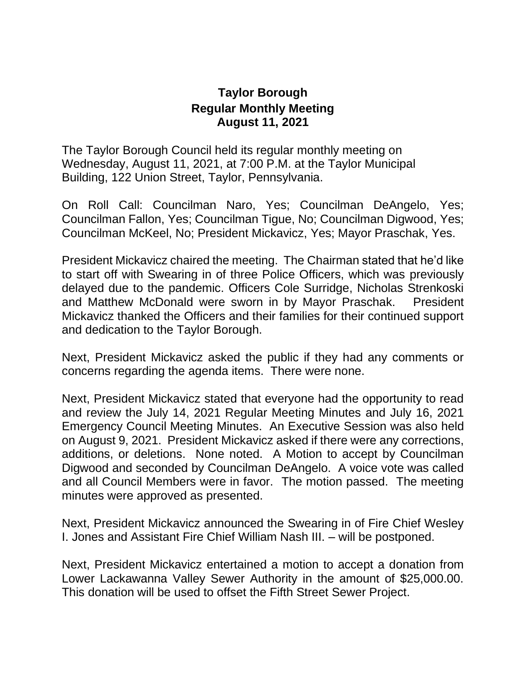## **Taylor Borough Regular Monthly Meeting August 11, 2021**

The Taylor Borough Council held its regular monthly meeting on Wednesday, August 11, 2021, at 7:00 P.M. at the Taylor Municipal Building, 122 Union Street, Taylor, Pennsylvania.

On Roll Call: Councilman Naro, Yes; Councilman DeAngelo, Yes; Councilman Fallon, Yes; Councilman Tigue, No; Councilman Digwood, Yes; Councilman McKeel, No; President Mickavicz, Yes; Mayor Praschak, Yes.

President Mickavicz chaired the meeting. The Chairman stated that he'd like to start off with Swearing in of three Police Officers, which was previously delayed due to the pandemic. Officers Cole Surridge, Nicholas Strenkoski and Matthew McDonald were sworn in by Mayor Praschak. President Mickavicz thanked the Officers and their families for their continued support and dedication to the Taylor Borough.

Next, President Mickavicz asked the public if they had any comments or concerns regarding the agenda items. There were none.

Next, President Mickavicz stated that everyone had the opportunity to read and review the July 14, 2021 Regular Meeting Minutes and July 16, 2021 Emergency Council Meeting Minutes. An Executive Session was also held on August 9, 2021. President Mickavicz asked if there were any corrections, additions, or deletions. None noted. A Motion to accept by Councilman Digwood and seconded by Councilman DeAngelo. A voice vote was called and all Council Members were in favor. The motion passed. The meeting minutes were approved as presented.

Next, President Mickavicz announced the Swearing in of Fire Chief Wesley I. Jones and Assistant Fire Chief William Nash III. – will be postponed.

Next, President Mickavicz entertained a motion to accept a donation from Lower Lackawanna Valley Sewer Authority in the amount of \$25,000.00. This donation will be used to offset the Fifth Street Sewer Project.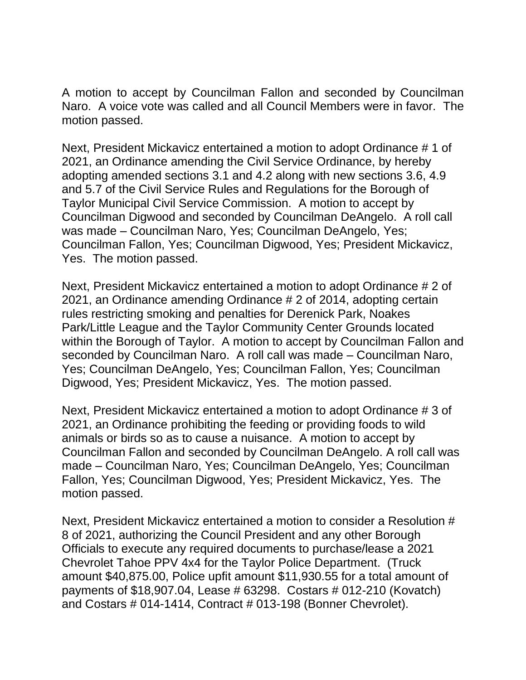A motion to accept by Councilman Fallon and seconded by Councilman Naro. A voice vote was called and all Council Members were in favor. The motion passed.

Next, President Mickavicz entertained a motion to adopt Ordinance # 1 of 2021, an Ordinance amending the Civil Service Ordinance, by hereby adopting amended sections 3.1 and 4.2 along with new sections 3.6, 4.9 and 5.7 of the Civil Service Rules and Regulations for the Borough of Taylor Municipal Civil Service Commission. A motion to accept by Councilman Digwood and seconded by Councilman DeAngelo. A roll call was made – Councilman Naro, Yes; Councilman DeAngelo, Yes; Councilman Fallon, Yes; Councilman Digwood, Yes; President Mickavicz, Yes. The motion passed.

Next, President Mickavicz entertained a motion to adopt Ordinance # 2 of 2021, an Ordinance amending Ordinance # 2 of 2014, adopting certain rules restricting smoking and penalties for Derenick Park, Noakes Park/Little League and the Taylor Community Center Grounds located within the Borough of Taylor. A motion to accept by Councilman Fallon and seconded by Councilman Naro. A roll call was made – Councilman Naro, Yes; Councilman DeAngelo, Yes; Councilman Fallon, Yes; Councilman Digwood, Yes; President Mickavicz, Yes. The motion passed.

Next, President Mickavicz entertained a motion to adopt Ordinance # 3 of 2021, an Ordinance prohibiting the feeding or providing foods to wild animals or birds so as to cause a nuisance. A motion to accept by Councilman Fallon and seconded by Councilman DeAngelo. A roll call was made – Councilman Naro, Yes; Councilman DeAngelo, Yes; Councilman Fallon, Yes; Councilman Digwood, Yes; President Mickavicz, Yes. The motion passed.

Next, President Mickavicz entertained a motion to consider a Resolution # 8 of 2021, authorizing the Council President and any other Borough Officials to execute any required documents to purchase/lease a 2021 Chevrolet Tahoe PPV 4x4 for the Taylor Police Department. (Truck amount \$40,875.00, Police upfit amount \$11,930.55 for a total amount of payments of \$18,907.04, Lease # 63298. Costars # 012-210 (Kovatch) and Costars # 014-1414, Contract # 013-198 (Bonner Chevrolet).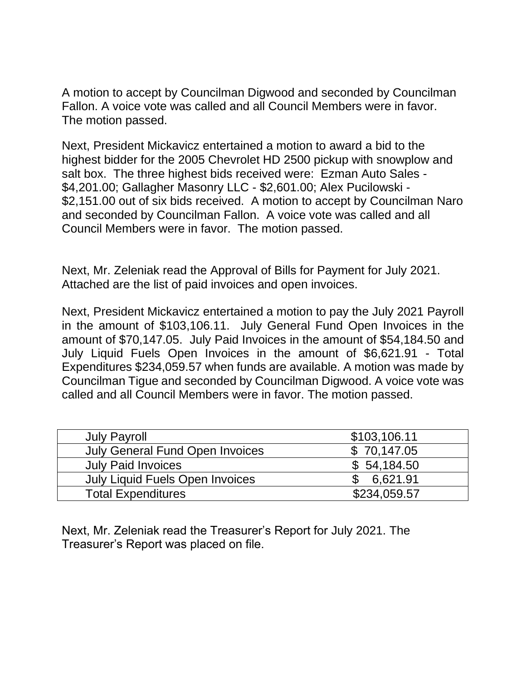A motion to accept by Councilman Digwood and seconded by Councilman Fallon. A voice vote was called and all Council Members were in favor. The motion passed.

Next, President Mickavicz entertained a motion to award a bid to the highest bidder for the 2005 Chevrolet HD 2500 pickup with snowplow and salt box. The three highest bids received were: Ezman Auto Sales - \$4,201.00; Gallagher Masonry LLC - \$2,601.00; Alex Pucilowski - \$2,151.00 out of six bids received. A motion to accept by Councilman Naro and seconded by Councilman Fallon. A voice vote was called and all Council Members were in favor. The motion passed.

Next, Mr. Zeleniak read the Approval of Bills for Payment for July 2021. Attached are the list of paid invoices and open invoices.

Next, President Mickavicz entertained a motion to pay the July 2021 Payroll in the amount of \$103,106.11. July General Fund Open Invoices in the amount of \$70,147.05. July Paid Invoices in the amount of \$54,184.50 and July Liquid Fuels Open Invoices in the amount of \$6,621.91 - Total Expenditures \$234,059.57 when funds are available. A motion was made by Councilman Tigue and seconded by Councilman Digwood. A voice vote was called and all Council Members were in favor. The motion passed.

| <b>July Payroll</b>                    | \$103,106.11 |
|----------------------------------------|--------------|
| <b>July General Fund Open Invoices</b> | \$70,147.05  |
| <b>July Paid Invoices</b>              | \$54,184.50  |
| July Liquid Fuels Open Invoices        | 6,621.91     |
| <b>Total Expenditures</b>              | \$234,059.57 |

Next, Mr. Zeleniak read the Treasurer's Report for July 2021. The Treasurer's Report was placed on file.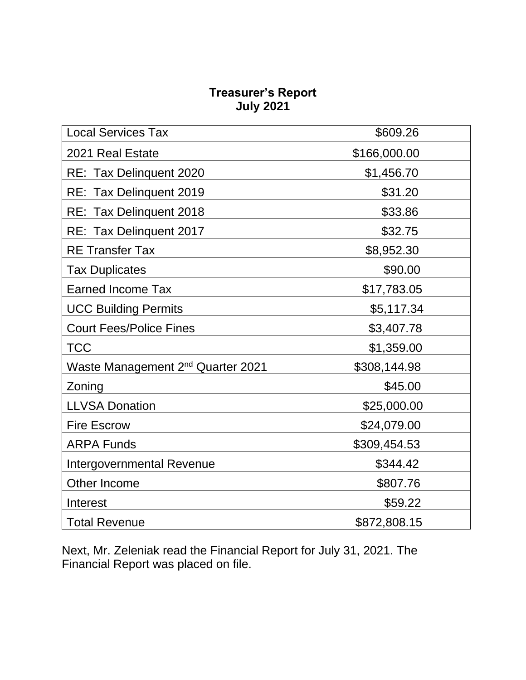## **Treasurer's Report July 2021**

| <b>Local Services Tax</b>                     | \$609.26     |
|-----------------------------------------------|--------------|
| 2021 Real Estate                              | \$166,000.00 |
| RE: Tax Delinquent 2020                       | \$1,456.70   |
| RE: Tax Delinquent 2019                       | \$31.20      |
| RE: Tax Delinquent 2018                       | \$33.86      |
| RE: Tax Delinquent 2017                       | \$32.75      |
| <b>RE</b> Transfer Tax                        | \$8,952.30   |
| <b>Tax Duplicates</b>                         | \$90.00      |
| <b>Earned Income Tax</b>                      | \$17,783.05  |
| <b>UCC Building Permits</b>                   | \$5,117.34   |
| <b>Court Fees/Police Fines</b>                | \$3,407.78   |
| <b>TCC</b>                                    | \$1,359.00   |
| Waste Management 2 <sup>nd</sup> Quarter 2021 | \$308,144.98 |
| Zoning                                        | \$45.00      |
| <b>LLVSA Donation</b>                         | \$25,000.00  |
| <b>Fire Escrow</b>                            | \$24,079.00  |
| <b>ARPA Funds</b>                             | \$309,454.53 |
| <b>Intergovernmental Revenue</b>              | \$344.42     |
| Other Income                                  | \$807.76     |
| Interest                                      | \$59.22      |
| <b>Total Revenue</b>                          | \$872,808.15 |

Next, Mr. Zeleniak read the Financial Report for July 31, 2021. The Financial Report was placed on file.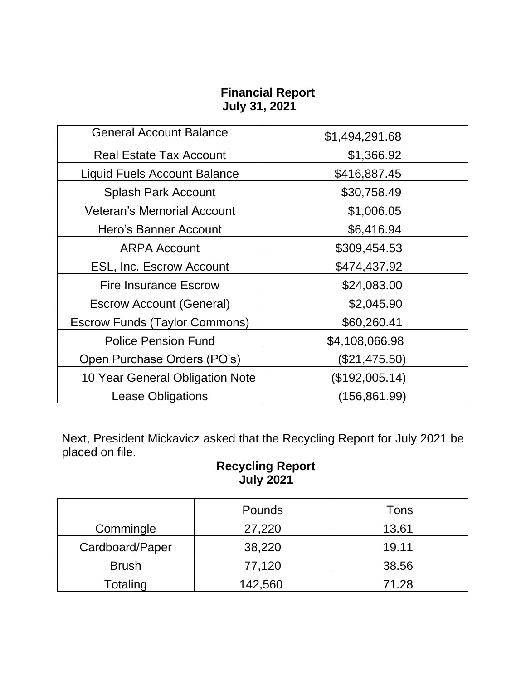## **Financial Report July 31, 2021**

| <b>General Account Balance</b>       | \$1,494,291.68 |
|--------------------------------------|----------------|
| <b>Real Estate Tax Account</b>       | \$1,366.92     |
| <b>Liquid Fuels Account Balance</b>  | \$416,887.45   |
| <b>Splash Park Account</b>           | \$30,758.49    |
| <b>Veteran's Memorial Account</b>    | \$1,006.05     |
| Hero's Banner Account                | \$6,416.94     |
| <b>ARPA Account</b>                  | \$309,454.53   |
| <b>ESL, Inc. Escrow Account</b>      | \$474,437.92   |
| Fire Insurance Escrow                | \$24,083.00    |
| <b>Escrow Account (General)</b>      | \$2,045.90     |
| <b>Escrow Funds (Taylor Commons)</b> | \$60,260.41    |
| <b>Police Pension Fund</b>           | \$4,108,066.98 |
| Open Purchase Orders (PO's)          | (\$21,475.50)  |
| 10 Year General Obligation Note      | (\$192,005.14) |
| <b>Lease Obligations</b>             | (156,861.99)   |

Next, President Mickavicz asked that the Recycling Report for July 2021 be placed on file.

## **Recycling Report July 2021**

|                 | Pounds  | Tons  |
|-----------------|---------|-------|
| Commingle       | 27,220  | 13.61 |
| Cardboard/Paper | 38,220  | 19.11 |
| <b>Brush</b>    | 77,120  | 38.56 |
| Totaling        | 142,560 | 71.28 |